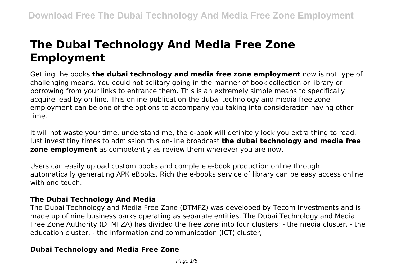# **The Dubai Technology And Media Free Zone Employment**

Getting the books **the dubai technology and media free zone employment** now is not type of challenging means. You could not solitary going in the manner of book collection or library or borrowing from your links to entrance them. This is an extremely simple means to specifically acquire lead by on-line. This online publication the dubai technology and media free zone employment can be one of the options to accompany you taking into consideration having other time.

It will not waste your time. understand me, the e-book will definitely look you extra thing to read. Just invest tiny times to admission this on-line broadcast **the dubai technology and media free zone employment** as competently as review them wherever you are now.

Users can easily upload custom books and complete e-book production online through automatically generating APK eBooks. Rich the e-books service of library can be easy access online with one touch.

## **The Dubai Technology And Media**

The Dubai Technology and Media Free Zone (DTMFZ) was developed by Tecom Investments and is made up of nine business parks operating as separate entities. The Dubai Technology and Media Free Zone Authority (DTMFZA) has divided the free zone into four clusters: - the media cluster, - the education cluster, - the information and communication (ICT) cluster,

# **Dubai Technology and Media Free Zone**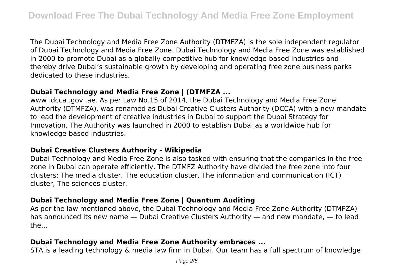The Dubai Technology and Media Free Zone Authority (DTMFZA) is the sole independent regulator of Dubai Technology and Media Free Zone. Dubai Technology and Media Free Zone was established in 2000 to promote Dubai as a globally competitive hub for knowledge-based industries and thereby drive Dubai's sustainable growth by developing and operating free zone business parks dedicated to these industries.

## **Dubai Technology and Media Free Zone | (DTMFZA ...**

www .dcca .gov .ae. As per Law No.15 of 2014, the Dubai Technology and Media Free Zone Authority (DTMFZA), was renamed as Dubai Creative Clusters Authority (DCCA) with a new mandate to lead the development of creative industries in Dubai to support the Dubai Strategy for Innovation. The Authority was launched in 2000 to establish Dubai as a worldwide hub for knowledge-based industries.

## **Dubai Creative Clusters Authority - Wikipedia**

Dubai Technology and Media Free Zone is also tasked with ensuring that the companies in the free zone in Dubai can operate efficiently. The DTMFZ Authority have divided the free zone into four clusters: The media cluster, The education cluster, The information and communication (ICT) cluster, The sciences cluster.

# **Dubai Technology and Media Free Zone | Quantum Auditing**

As per the law mentioned above, the Dubai Technology and Media Free Zone Authority (DTMFZA) has announced its new name — Dubai Creative Clusters Authority — and new mandate, — to lead the...

# **Dubai Technology and Media Free Zone Authority embraces ...**

STA is a leading technology & media law firm in Dubai. Our team has a full spectrum of knowledge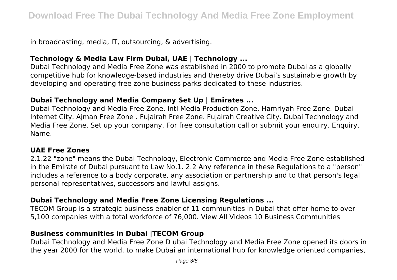in broadcasting, media, IT, outsourcing, & advertising.

# **Technology & Media Law Firm Dubai, UAE | Technology ...**

Dubai Technology and Media Free Zone was established in 2000 to promote Dubai as a globally competitive hub for knowledge-based industries and thereby drive Dubai's sustainable growth by developing and operating free zone business parks dedicated to these industries.

## **Dubai Technology and Media Company Set Up | Emirates ...**

Dubai Technology and Media Free Zone. Intl Media Production Zone. Hamriyah Free Zone. Dubai Internet City. Ajman Free Zone . Fujairah Free Zone. Fujairah Creative City. Dubai Technology and Media Free Zone. Set up your company. For free consultation call or submit your enquiry. Enquiry. Name.

#### **UAE Free Zones**

2.1.22 "zone" means the Dubai Technology, Electronic Commerce and Media Free Zone established in the Emirate of Dubai pursuant to Law No.1. 2.2 Any reference in these Regulations to a "person" includes a reference to a body corporate, any association or partnership and to that person's legal personal representatives, successors and lawful assigns.

## **Dubai Technology and Media Free Zone Licensing Regulations ...**

TECOM Group is a strategic business enabler of 11 communities in Dubai that offer home to over 5,100 companies with a total workforce of 76,000. View All Videos 10 Business Communities

## **Business communities in Dubai |TECOM Group**

Dubai Technology and Media Free Zone D ubai Technology and Media Free Zone opened its doors in the year 2000 for the world, to make Dubai an international hub for knowledge oriented companies,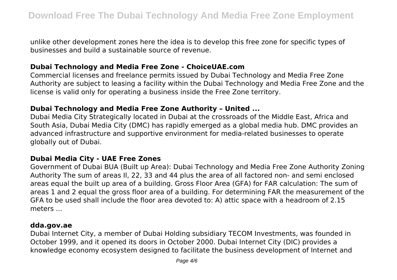unlike other development zones here the idea is to develop this free zone for specific types of businesses and build a sustainable source of revenue.

## **Dubai Technology and Media Free Zone - ChoiceUAE.com**

Commercial licenses and freelance permits issued by Dubai Technology and Media Free Zone Authority are subject to leasing a facility within the Dubai Technology and Media Free Zone and the license is valid only for operating a business inside the Free Zone territory.

#### **Dubai Technology and Media Free Zone Authority – United ...**

Dubai Media City Strategically located in Dubai at the crossroads of the Middle East, Africa and South Asia, Dubai Media City (DMC) has rapidly emerged as a global media hub. DMC provides an advanced infrastructure and supportive environment for media-related businesses to operate globally out of Dubai.

#### **Dubai Media City - UAE Free Zones**

Government of Dubai BUA (Built up Area): Dubai Technology and Media Free Zone Authority Zoning Authority The sum of areas Il, 22, 33 and 44 plus the area of all factored non- and semi enclosed areas equal the built up area of a building. Gross Floor Area (GFA) for FAR calculation: The sum of areas 1 and 2 equal the gross floor area of a building. For determining FAR the measurement of the GFA to be used shall include the floor area devoted to: A) attic space with a headroom of 2.15 meters ...

#### **dda.gov.ae**

Dubai Internet City, a member of Dubai Holding subsidiary TECOM Investments, was founded in October 1999, and it opened its doors in October 2000. Dubai Internet City (DIC) provides a knowledge economy ecosystem designed to facilitate the business development of Internet and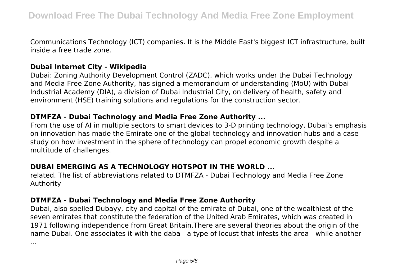Communications Technology (ICT) companies. It is the Middle East's biggest ICT infrastructure, built inside a free trade zone.

#### **Dubai Internet City - Wikipedia**

Dubai: Zoning Authority Development Control (ZADC), which works under the Dubai Technology and Media Free Zone Authority, has signed a memorandum of understanding (MoU) with Dubai Industrial Academy (DIA), a division of Dubai Industrial City, on delivery of health, safety and environment (HSE) training solutions and regulations for the construction sector.

#### **DTMFZA - Dubai Technology and Media Free Zone Authority ...**

From the use of AI in multiple sectors to smart devices to 3-D printing technology, Dubai's emphasis on innovation has made the Emirate one of the global technology and innovation hubs and a case study on how investment in the sphere of technology can propel economic growth despite a multitude of challenges.

# **DUBAI EMERGING AS A TECHNOLOGY HOTSPOT IN THE WORLD ...**

related. The list of abbreviations related to DTMFZA - Dubai Technology and Media Free Zone Authority

## **DTMFZA - Dubai Technology and Media Free Zone Authority**

Dubai, also spelled Dubayy, city and capital of the emirate of Dubai, one of the wealthiest of the seven emirates that constitute the federation of the United Arab Emirates, which was created in 1971 following independence from Great Britain.There are several theories about the origin of the name Dubai. One associates it with the daba—a type of locust that infests the area—while another

...